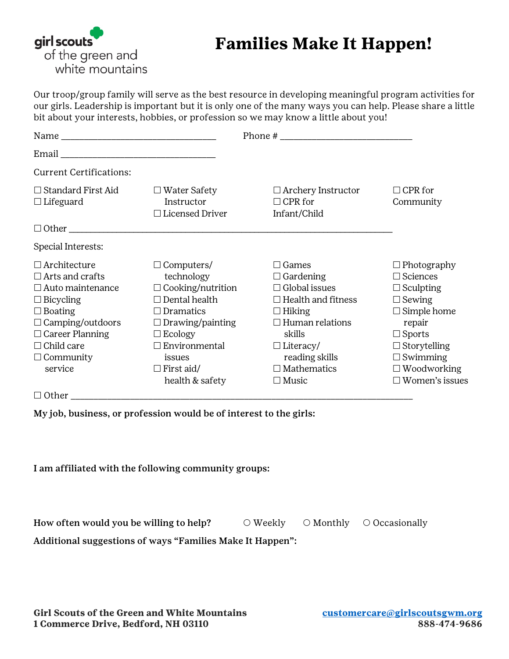

## **Families Make It Happen!**

Our troop/group family will serve as the best resource in developing meaningful program activities for our girls. Leadership is important but it is only one of the many ways you can help. Please share a little bit about your interests, hobbies, or profession so we may know a little about you!

| <b>Current Certifications:</b>                                                                                                                                                                                          |                                                                                                                                                                                                                                |                                                                                                                                                                                                                        |                                                                                                                                                                                                                      |
|-------------------------------------------------------------------------------------------------------------------------------------------------------------------------------------------------------------------------|--------------------------------------------------------------------------------------------------------------------------------------------------------------------------------------------------------------------------------|------------------------------------------------------------------------------------------------------------------------------------------------------------------------------------------------------------------------|----------------------------------------------------------------------------------------------------------------------------------------------------------------------------------------------------------------------|
| $\Box$ Standard First Aid<br>$\Box$ Lifeguard                                                                                                                                                                           | $\Box$ Water Safety<br>Instructor<br>$\Box$ Licensed Driver                                                                                                                                                                    | $\Box$ Archery Instructor<br>$\Box$ CPR for<br>Infant/Child                                                                                                                                                            | $\Box$ CPR for<br>Community                                                                                                                                                                                          |
|                                                                                                                                                                                                                         | $\Box$ Other                                                                                                                                                                                                                   |                                                                                                                                                                                                                        |                                                                                                                                                                                                                      |
| Special Interests:                                                                                                                                                                                                      |                                                                                                                                                                                                                                |                                                                                                                                                                                                                        |                                                                                                                                                                                                                      |
| $\Box$ Architecture<br>$\Box$ Arts and crafts<br>$\Box$ Auto maintenance<br>$\Box$ Bicycling<br>$\Box$ Boating<br>$\Box$ Camping/outdoors<br>$\Box$ Career Planning<br>$\Box$ Child care<br>$\Box$ Community<br>service | $\Box$ Computers/<br>technology<br>$\Box$ Cooking/nutrition<br>$\Box$ Dental health<br>$\Box$ Dramatics<br>$\Box$ Drawing/painting<br>$\Box$ Ecology<br>$\Box$ Environmental<br>issues<br>$\Box$ First aid/<br>health & safety | $\Box$ Games<br>$\Box$ Gardening<br>$\Box$ Global issues<br>$\Box$ Health and fitness<br>$\Box$ Hiking<br>$\Box$ Human relations<br>skills<br>$\Box$ Literacy/<br>reading skills<br>$\Box$ Mathematics<br>$\Box$ Music | $\Box$ Photography<br>$\Box$ Sciences<br>$\Box$ Sculpting<br>$\Box$ Sewing<br>$\Box$ Simple home<br>repair<br>$\Box$ Sports<br>$\Box$ Storytelling<br>$\Box$ Swimming<br>$\Box$ Woodworking<br>$\Box$ Women's issues |
| $\Box$ Other $\Box$                                                                                                                                                                                                     |                                                                                                                                                                                                                                |                                                                                                                                                                                                                        |                                                                                                                                                                                                                      |

My job, business, or profession would be of interest to the girls:

I am affiliated with the following community groups:

How often would you be willing to help?  $\bigcirc$  Weekly  $\bigcirc$  Monthly  $\bigcirc$  Occasionally

Additional suggestions of ways "Families Make It Happen":